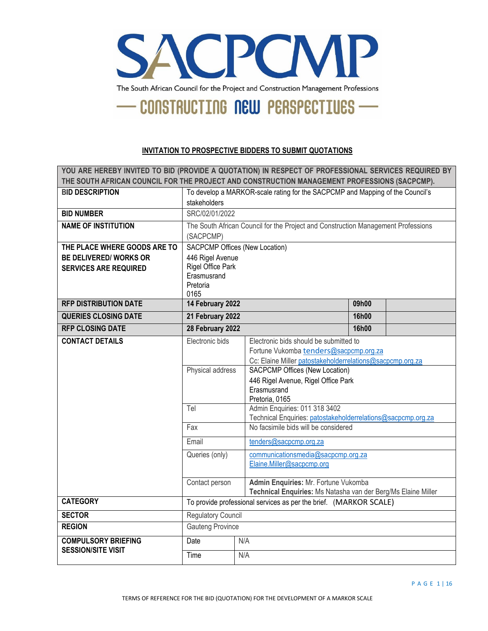

#### **INVITATION TO PROSPECTIVE BIDDERS TO SUBMIT QUOTATIONS**

| YOU ARE HEREBY INVITED TO BID (PROVIDE A QUOTATION) IN RESPECT OF PROFESSIONAL SERVICES REQUIRED BY |                                                                               |                                                                                                      |       |  |
|-----------------------------------------------------------------------------------------------------|-------------------------------------------------------------------------------|------------------------------------------------------------------------------------------------------|-------|--|
| THE SOUTH AFRICAN COUNCIL FOR THE PROJECT AND CONSTRUCTION MANAGEMENT PROFESSIONS (SACPCMP).        |                                                                               |                                                                                                      |       |  |
| <b>BID DESCRIPTION</b>                                                                              | To develop a MARKOR-scale rating for the SACPCMP and Mapping of the Council's |                                                                                                      |       |  |
| <b>BID NUMBER</b>                                                                                   | stakeholders<br>SRC/02/01/2022                                                |                                                                                                      |       |  |
|                                                                                                     |                                                                               |                                                                                                      |       |  |
| <b>NAME OF INSTITUTION</b>                                                                          |                                                                               | The South African Council for the Project and Construction Management Professions                    |       |  |
| THE PLACE WHERE GOODS ARE TO                                                                        | (SACPCMP)                                                                     | SACPCMP Offices (New Location)                                                                       |       |  |
| <b>BE DELIVERED/ WORKS OR</b>                                                                       | 446 Rigel Avenue                                                              |                                                                                                      |       |  |
| <b>SERVICES ARE REQUIRED</b>                                                                        | Rigel Office Park                                                             |                                                                                                      |       |  |
|                                                                                                     | Erasmusrand                                                                   |                                                                                                      |       |  |
|                                                                                                     | Pretoria                                                                      |                                                                                                      |       |  |
|                                                                                                     | 0165                                                                          |                                                                                                      |       |  |
| <b>RFP DISTRIBUTION DATE</b>                                                                        | 14 February 2022                                                              |                                                                                                      | 09h00 |  |
| <b>QUERIES CLOSING DATE</b>                                                                         | 21 February 2022<br>16h00                                                     |                                                                                                      |       |  |
| <b>RFP CLOSING DATE</b>                                                                             | 28 February 2022<br>16h00                                                     |                                                                                                      |       |  |
| <b>CONTACT DETAILS</b>                                                                              | Electronic bids                                                               | Electronic bids should be submitted to                                                               |       |  |
|                                                                                                     |                                                                               | Fortune Vukomba tenders@sacpcmp.org.za                                                               |       |  |
|                                                                                                     | Physical address                                                              | Cc: Elaine Miller patostakeholderrelations@sacpcmp.org.za<br>SACPCMP Offices (New Location)          |       |  |
|                                                                                                     |                                                                               | 446 Rigel Avenue, Rigel Office Park                                                                  |       |  |
|                                                                                                     |                                                                               | Erasmusrand                                                                                          |       |  |
|                                                                                                     |                                                                               | Pretoria, 0165                                                                                       |       |  |
|                                                                                                     | Tel                                                                           | Admin Enquiries: 011 318 3402                                                                        |       |  |
|                                                                                                     | Fax                                                                           | Technical Enquiries: patostakeholderrelations@sacpcmp.org.za<br>No facsimile bids will be considered |       |  |
|                                                                                                     |                                                                               |                                                                                                      |       |  |
|                                                                                                     | Email                                                                         | tenders@sacpcmp.org.za                                                                               |       |  |
|                                                                                                     | Queries (only)                                                                | communicationsmedia@sacpcmp.org.za                                                                   |       |  |
|                                                                                                     |                                                                               | Elaine.Miller@sacpcmp.org                                                                            |       |  |
|                                                                                                     | Admin Enquiries: Mr. Fortune Vukomba<br>Contact person                        |                                                                                                      |       |  |
|                                                                                                     | Technical Enquiries: Ms Natasha van der Berg/Ms Elaine Miller                 |                                                                                                      |       |  |
| <b>CATEGORY</b>                                                                                     | To provide professional services as per the brief. (MARKOR SCALE)             |                                                                                                      |       |  |
| <b>SECTOR</b>                                                                                       | Regulatory Council                                                            |                                                                                                      |       |  |
| <b>REGION</b>                                                                                       | <b>Gauteng Province</b>                                                       |                                                                                                      |       |  |
| <b>COMPULSORY BRIEFING</b>                                                                          | Date<br>N/A                                                                   |                                                                                                      |       |  |
| <b>SESSION/SITE VISIT</b>                                                                           | Time                                                                          | N/A                                                                                                  |       |  |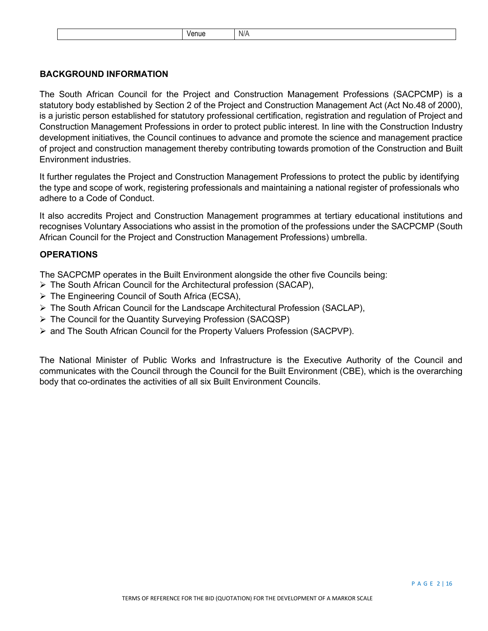| N/A<br>enue |
|-------------|
|-------------|

# **BACKGROUND INFORMATION**

The South African Council for the Project and Construction Management Professions (SACPCMP) is a statutory body established by Section 2 of the Project and Construction Management Act (Act No.48 of 2000), is a juristic person established for statutory professional certification, registration and regulation of Project and Construction Management Professions in order to protect public interest. In line with the Construction Industry development initiatives, the Council continues to advance and promote the science and management practice of project and construction management thereby contributing towards promotion of the Construction and Built Environment industries.

It further regulates the Project and Construction Management Professions to protect the public by identifying the type and scope of work, registering professionals and maintaining a national register of professionals who adhere to a Code of Conduct.

It also accredits Project and Construction Management programmes at tertiary educational institutions and recognises Voluntary Associations who assist in the promotion of the professions under the SACPCMP (South African Council for the Project and Construction Management Professions) umbrella.

# **OPERATIONS**

The SACPCMP operates in the Built Environment alongside the other five Councils being:

- The South African Council for the Architectural profession (SACAP),
- The Engineering Council of South Africa (ECSA),
- $\triangleright$  The South African Council for the Landscape Architectural Profession (SACLAP),
- The Council for the Quantity Surveying Profession (SACQSP)
- $\triangleright$  and The South African Council for the Property Valuers Profession (SACPVP).

The National Minister of Public Works and Infrastructure is the Executive Authority of the Council and communicates with the Council through the Council for the Built Environment (CBE), which is the overarching body that co-ordinates the activities of all six Built Environment Councils.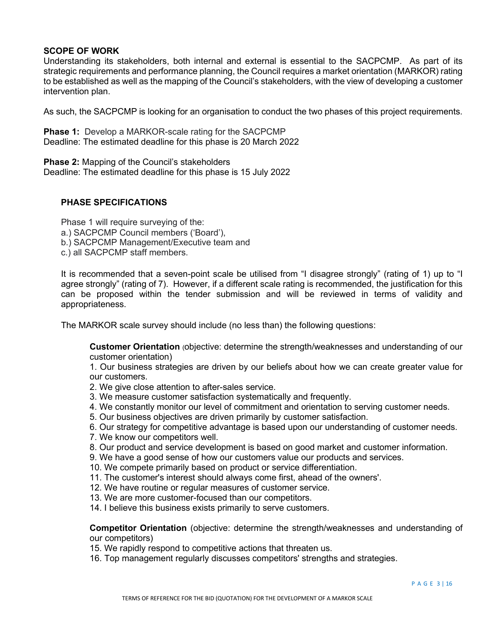#### **SCOPE OF WORK**

Understanding its stakeholders, both internal and external is essential to the SACPCMP. As part of its strategic requirements and performance planning, the Council requires a market orientation (MARKOR) rating to be established as well as the mapping of the Council's stakeholders, with the view of developing a customer intervention plan.

As such, the SACPCMP is looking for an organisation to conduct the two phases of this project requirements.

**Phase 1:** Develop a MARKOR-scale rating for the SACPCMP Deadline: The estimated deadline for this phase is 20 March 2022

**Phase 2:** Mapping of the Council's stakeholders Deadline: The estimated deadline for this phase is 15 July 2022

## **PHASE SPECIFICATIONS**

Phase 1 will require surveying of the: a.) SACPCMP Council members ('Board'), b.) SACPCMP Management/Executive team and c.) all SACPCMP staff members.

It is recommended that a seven-point scale be utilised from "I disagree strongly" (rating of 1) up to "I agree strongly" (rating of 7). However, if a different scale rating is recommended, the justification for this can be proposed within the tender submission and will be reviewed in terms of validity and appropriateness.

The MARKOR scale survey should include (no less than) the following questions:

**Customer Orientation** (objective: determine the strength/weaknesses and understanding of our customer orientation)

1. Our business strategies are driven by our beliefs about how we can create greater value for our customers.

- 2. We give close attention to after-sales service.
- 3. We measure customer satisfaction systematically and frequently.
- 4. We constantly monitor our level of commitment and orientation to serving customer needs.
- 5. Our business objectives are driven primarily by customer satisfaction.
- 6. Our strategy for competitive advantage is based upon our understanding of customer needs.
- 7. We know our competitors well.
- 8. Our product and service development is based on good market and customer information.
- 9. We have a good sense of how our customers value our products and services.
- 10. We compete primarily based on product or service differentiation.
- 11. The customer's interest should always come first, ahead of the owners'.
- 12. We have routine or regular measures of customer service.
- 13. We are more customer-focused than our competitors.
- 14. I believe this business exists primarily to serve customers.

**Competitor Orientation** (objective: determine the strength/weaknesses and understanding of our competitors)

- 15. We rapidly respond to competitive actions that threaten us.
- 16. Top management regularly discusses competitors' strengths and strategies.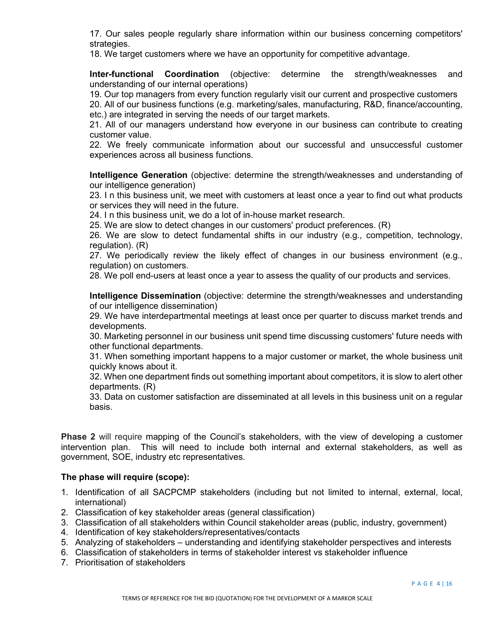17. Our sales people regularly share information within our business concerning competitors' strategies.

18. We target customers where we have an opportunity for competitive advantage.

**Inter-functional Coordination** (objective: determine the strength/weaknesses and understanding of our internal operations)

19. Our top managers from every function regularly visit our current and prospective customers

20. All of our business functions (e.g. marketing/sales, manufacturing, R&D, finance/accounting, etc.) are integrated in serving the needs of our target markets.

21. All of our managers understand how everyone in our business can contribute to creating customer value.

22. We freely communicate information about our successful and unsuccessful customer experiences across all business functions.

**Intelligence Generation** (objective: determine the strength/weaknesses and understanding of our intelligence generation)

23. I n this business unit, we meet with customers at least once a year to find out what products or services they will need in the future.

24. I n this business unit, we do a lot of in-house market research.

25. We are slow to detect changes in our customers' product preferences. (R)

26. We are slow to detect fundamental shifts in our industry (e.g., competition, technology, regulation). (R)

27. We periodically review the likely effect of changes in our business environment (e.g., regulation) on customers.

28. We poll end-users at least once a year to assess the quality of our products and services.

**Intelligence Dissemination** (objective: determine the strength/weaknesses and understanding of our intelligence dissemination)

29. We have interdepartmental meetings at least once per quarter to discuss market trends and developments.

30. Marketing personnel in our business unit spend time discussing customers' future needs with other functional departments.

31. When something important happens to a major customer or market, the whole business unit quickly knows about it.

32. When one department finds out something important about competitors, it is slow to alert other departments. (R)

33. Data on customer satisfaction are disseminated at all levels in this business unit on a regular basis.

**Phase 2** will require mapping of the Council's stakeholders, with the view of developing a customer intervention plan. This will need to include both internal and external stakeholders, as well as government, SOE, industry etc representatives.

# **The phase will require (scope):**

- 1. Identification of all SACPCMP stakeholders (including but not limited to internal, external, local, international)
- 2. Classification of key stakeholder areas (general classification)
- 3. Classification of all stakeholders within Council stakeholder areas (public, industry, government)
- 4. Identification of key stakeholders/representatives/contacts
- 5. Analyzing of stakeholders understanding and identifying stakeholder perspectives and interests
- 6. Classification of stakeholders in terms of stakeholder interest vs stakeholder influence
- 7. Prioritisation of stakeholders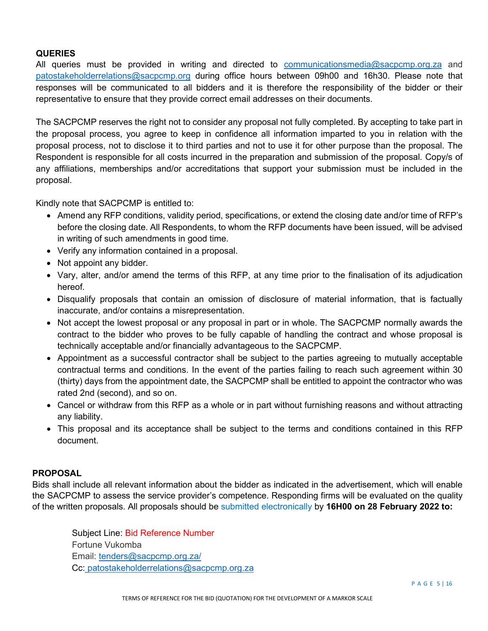# **QUERIES**

All queries must be provided in writing and directed to [communicationsmedia@sacpcmp.org.za](mailto:communicationsmedia@sacpcmp.org.za) and patostakeholderrelations@sacpcmp.org during office hours between 09h00 and 16h30. Please note that responses will be communicated to all bidders and it is therefore the responsibility of the bidder or their representative to ensure that they provide correct email addresses on their documents.

The SACPCMP reserves the right not to consider any proposal not fully completed. By accepting to take part in the proposal process, you agree to keep in confidence all information imparted to you in relation with the proposal process, not to disclose it to third parties and not to use it for other purpose than the proposal. The Respondent is responsible for all costs incurred in the preparation and submission of the proposal. Copy/s of any affiliations, memberships and/or accreditations that support your submission must be included in the proposal.

Kindly note that SACPCMP is entitled to:

- Amend any RFP conditions, validity period, specifications, or extend the closing date and/or time of RFP's before the closing date. All Respondents, to whom the RFP documents have been issued, will be advised in writing of such amendments in good time.
- Verify any information contained in a proposal.
- Not appoint any bidder.
- Vary, alter, and/or amend the terms of this RFP, at any time prior to the finalisation of its adjudication hereof.
- Disqualify proposals that contain an omission of disclosure of material information, that is factually inaccurate, and/or contains a misrepresentation.
- Not accept the lowest proposal or any proposal in part or in whole. The SACPCMP normally awards the contract to the bidder who proves to be fully capable of handling the contract and whose proposal is technically acceptable and/or financially advantageous to the SACPCMP.
- Appointment as a successful contractor shall be subject to the parties agreeing to mutually acceptable contractual terms and conditions. In the event of the parties failing to reach such agreement within 30 (thirty) days from the appointment date, the SACPCMP shall be entitled to appoint the contractor who was rated 2nd (second), and so on.
- Cancel or withdraw from this RFP as a whole or in part without furnishing reasons and without attracting any liability.
- This proposal and its acceptance shall be subject to the terms and conditions contained in this RFP document.

# **PROPOSAL**

Bids shall include all relevant information about the bidder as indicated in the advertisement, which will enable the SACPCMP to assess the service provider's competence. Responding firms will be evaluated on the quality of the written proposals. All proposals should be submitted electronically by **16H00 on 28 February 2022 to:** 

Subject Line: Bid Reference Number Fortune Vukomba Email: [tenders@sacpcmp.org.za/](mailto:tenders@sacpcmp.org.za/) Cc: patostakeholderrelations@sacpcmp.org.za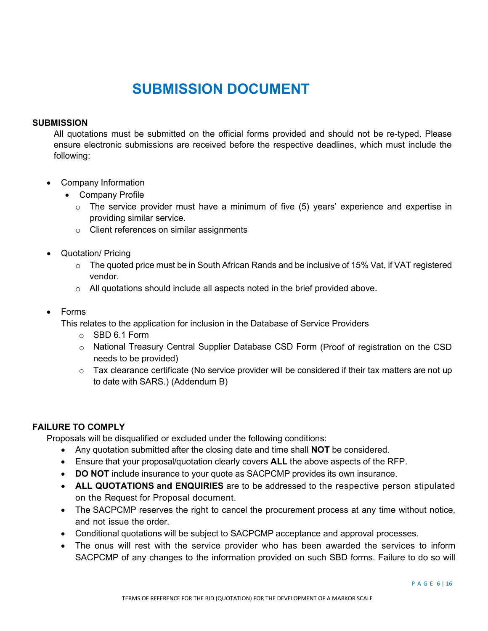# **SUBMISSION DOCUMENT**

# **SUBMISSION**

All quotations must be submitted on the official forms provided and should not be re-typed. Please ensure electronic submissions are received before the respective deadlines, which must include the following:

- Company Information
	- Company Profile
		- $\circ$  The service provider must have a minimum of five (5) years' experience and expertise in providing similar service.
		- o Client references on similar assignments
- Quotation/ Pricing
	- $\circ$  The quoted price must be in South African Rands and be inclusive of 15% Vat, if VAT registered vendor.
	- $\circ$  All quotations should include all aspects noted in the brief provided above.
- Forms

This relates to the application for inclusion in the Database of Service Providers

- o SBD 6.1 Form
- o National Treasury Central Supplier Database CSD Form (Proof of registration on the CSD needs to be provided)
- $\circ$  Tax clearance certificate (No service provider will be considered if their tax matters are not up to date with SARS.) (Addendum B)

# **FAILURE TO COMPLY**

Proposals will be disqualified or excluded under the following conditions:

- Any quotation submitted after the closing date and time shall **NOT** be considered.
- Ensure that your proposal/quotation clearly covers **ALL** the above aspects of the RFP.
- **DO NOT** include insurance to your quote as SACPCMP provides its own insurance.
- **ALL QUOTATIONS and ENQUIRIES** are to be addressed to the respective person stipulated on the Request for Proposal document.
- The SACPCMP reserves the right to cancel the procurement process at any time without notice, and not issue the order.
- Conditional quotations will be subject to SACPCMP acceptance and approval processes.
- The onus will rest with the service provider who has been awarded the services to inform SACPCMP of any changes to the information provided on such SBD forms. Failure to do so will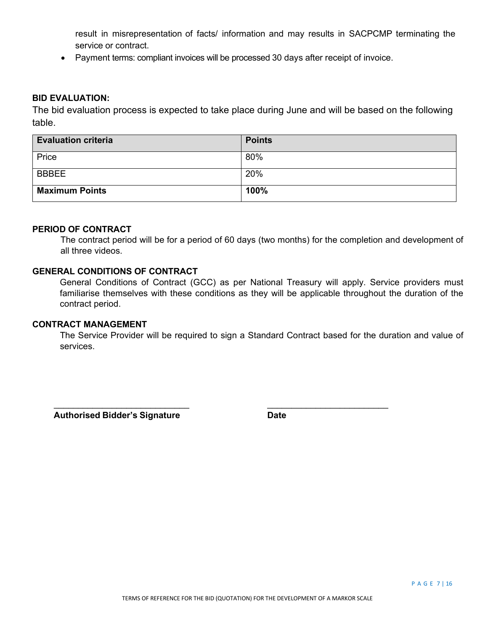result in misrepresentation of facts/ information and may results in SACPCMP terminating the service or contract.

• Payment terms: compliant invoices will be processed 30 days after receipt of invoice.

#### **BID EVALUATION:**

The bid evaluation process is expected to take place during June and will be based on the following table.

| <b>Evaluation criteria</b> | <b>Points</b> |
|----------------------------|---------------|
| Price                      | 80%           |
| <b>BBBEE</b>               | 20%           |
| <b>Maximum Points</b>      | 100%          |

#### **PERIOD OF CONTRACT**

The contract period will be for a period of 60 days (two months) for the completion and development of all three videos.

# **GENERAL CONDITIONS OF CONTRACT**

General Conditions of Contract (GCC) as per National Treasury will apply. Service providers must familiarise themselves with these conditions as they will be applicable throughout the duration of the contract period.

#### **CONTRACT MANAGEMENT**

The Service Provider will be required to sign a Standard Contract based for the duration and value of services.

 $\overline{\phantom{a}}$  ,  $\overline{\phantom{a}}$  ,  $\overline{\phantom{a}}$  ,  $\overline{\phantom{a}}$  ,  $\overline{\phantom{a}}$  ,  $\overline{\phantom{a}}$  ,  $\overline{\phantom{a}}$  ,  $\overline{\phantom{a}}$  ,  $\overline{\phantom{a}}$  ,  $\overline{\phantom{a}}$  ,  $\overline{\phantom{a}}$  ,  $\overline{\phantom{a}}$  ,  $\overline{\phantom{a}}$  ,  $\overline{\phantom{a}}$  ,  $\overline{\phantom{a}}$  ,  $\overline{\phantom{a}}$ 

 **Authorised Bidder's Signature Date**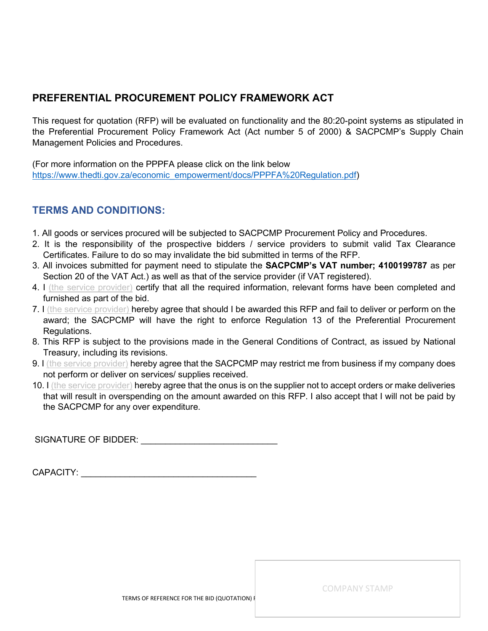# **PREFERENTIAL PROCUREMENT POLICY FRAMEWORK ACT**

This request for quotation (RFP) will be evaluated on functionality and the 80:20-point systems as stipulated in the Preferential Procurement Policy Framework Act (Act number 5 of 2000) & SACPCMP's Supply Chain Management Policies and Procedures.

(For more information on the PPPFA please click on the link below [https://www.thedti.gov.za/economic\\_empowerment/docs/PPPFA%20Regulation.pdf\)](https://www.thedti.gov.za/economic_empowerment/docs/PPPFA%20Regulation.pdf)

# **TERMS AND CONDITIONS:**

- 1. All goods or services procured will be subjected to SACPCMP Procurement Policy and Procedures.
- 2. It is the responsibility of the prospective bidders / service providers to submit valid Tax Clearance Certificates. Failure to do so may invalidate the bid submitted in terms of the RFP.
- 3. All invoices submitted for payment need to stipulate the **SACPCMP's VAT number; 4100199787** as per Section 20 of the VAT Act.) as well as that of the service provider (if VAT registered).
- 4. I (the service provider) certify that all the required information, relevant forms have been completed and furnished as part of the bid.
- 7. I (the service provider) hereby agree that should I be awarded this RFP and fail to deliver or perform on the award; the SACPCMP will have the right to enforce Regulation 13 of the Preferential Procurement Regulations.
- 8. This RFP is subject to the provisions made in the General Conditions of Contract, as issued by National Treasury, including its revisions.
- 9. I (the service provider) hereby agree that the SACPCMP may restrict me from business if my company does not perform or deliver on services/ supplies received.
- 10. I (the service provider) hereby agree that the onus is on the supplier not to accept orders or make deliveries that will result in overspending on the amount awarded on this RFP. I also accept that I will not be paid by the SACPCMP for any over expenditure.

SIGNATURE OF BIDDER: \_\_\_\_\_\_\_\_\_\_\_\_\_\_\_\_\_\_\_\_\_\_\_\_\_\_\_\_

| CAPACITY: |  |
|-----------|--|
|           |  |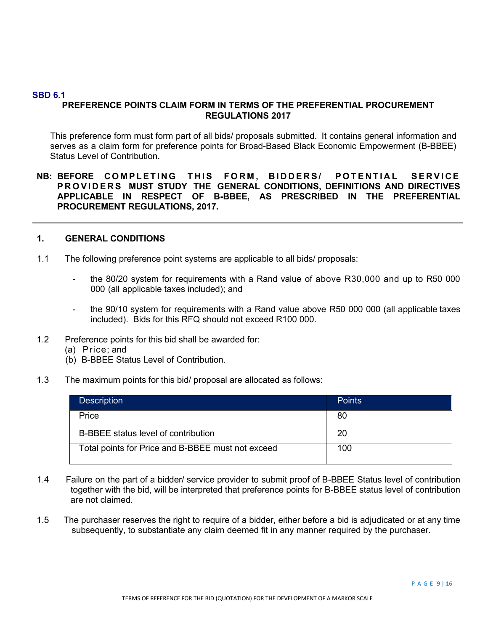#### **SBD 6.1**

# **PREFERENCE POINTS CLAIM FORM IN TERMS OF THE PREFERENTIAL PROCUREMENT REGULATIONS 2017**

This preference form must form part of all bids/ proposals submitted. It contains general information and serves as a claim form for preference points for Broad-Based Black Economic Empowerment (B-BBEE) Status Level of Contribution.

# **NB: BEFORE COMPLETING THIS FORM , BIDDERS/ POTENTIAL SERVICE PROVIDERS MUST STUDY THE GENERAL CONDITIONS, DEFINITIONS AND DIRECTIVES APPLICABLE IN RESPECT OF B-BBEE, AS PRESCRIBED IN THE PREFERENTIAL PROCUREMENT REGULATIONS, 2017.**

#### **1. GENERAL CONDITIONS**

- 1.1 The following preference point systems are applicable to all bids/ proposals:
	- the 80/20 system for requirements with a Rand value of above R30,000 and up to R50 000 000 (all applicable taxes included); and
	- the 90/10 system for requirements with a Rand value above R50 000 000 (all applicable taxes included). Bids for this RFQ should not exceed R100 000.
- 1.2 Preference points for this bid shall be awarded for:
	- (a) Price; and
	- (b) B-BBEE Status Level of Contribution.
- 1.3 The maximum points for this bid/ proposal are allocated as follows:

| <b>Description</b>                                | <b>Points</b> |
|---------------------------------------------------|---------------|
| Price                                             | 80            |
| B-BBEE status level of contribution               | 20            |
| Total points for Price and B-BBEE must not exceed | 100           |

- 1.4 Failure on the part of a bidder/ service provider to submit proof of B-BBEE Status level of contribution together with the bid, will be interpreted that preference points for B-BBEE status level of contribution are not claimed.
- 1.5 The purchaser reserves the right to require of a bidder, either before a bid is adjudicated or at any time subsequently, to substantiate any claim deemed fit in any manner required by the purchaser.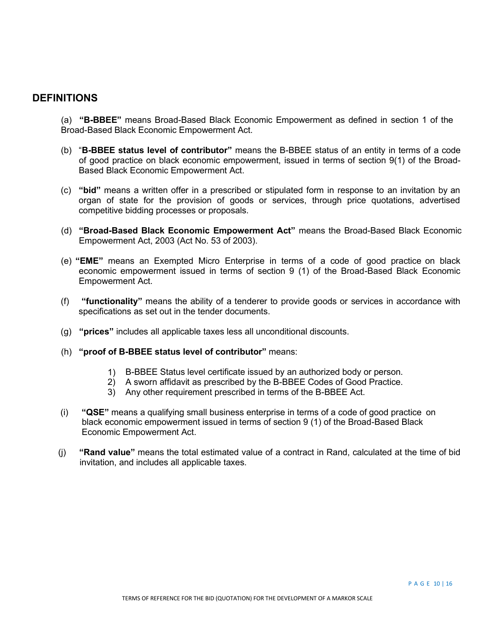# **DEFINITIONS**

- (a) **"B-BBEE"** means Broad-Based Black Economic Empowerment as defined in section 1 of the Broad-Based Black Economic Empowerment Act.
- (b) "**B-BBEE status level of contributor"** means the B-BBEE status of an entity in terms of a code of good practice on black economic empowerment, issued in terms of section 9(1) of the Broad-Based Black Economic Empowerment Act.
- (c) **"bid"** means a written offer in a prescribed or stipulated form in response to an invitation by an organ of state for the provision of goods or services, through price quotations, advertised competitive bidding processes or proposals.
- (d) **"Broad-Based Black Economic Empowerment Act"** means the Broad-Based Black Economic Empowerment Act, 2003 (Act No. 53 of 2003).
- (e) **"EME"** means an Exempted Micro Enterprise in terms of a code of good practice on black economic empowerment issued in terms of section 9 (1) of the Broad-Based Black Economic Empowerment Act.
- (f) **"functionality"** means the ability of a tenderer to provide goods or services in accordance with specifications as set out in the tender documents.
- (g) **"prices"** includes all applicable taxes less all unconditional discounts.
- (h) **"proof of B-BBEE status level of contributor"** means:
	- 1) B-BBEE Status level certificate issued by an authorized body or person.
	- 2) A sworn affidavit as prescribed by the B-BBEE Codes of Good Practice.
	- 3) Any other requirement prescribed in terms of the B-BBEE Act.
- (i) **"QSE"** means a qualifying small business enterprise in terms of a code of good practice on black economic empowerment issued in terms of section 9 (1) of the Broad-Based Black Economic Empowerment Act.
- (j) **"Rand value"** means the total estimated value of a contract in Rand, calculated at the time of bid invitation, and includes all applicable taxes.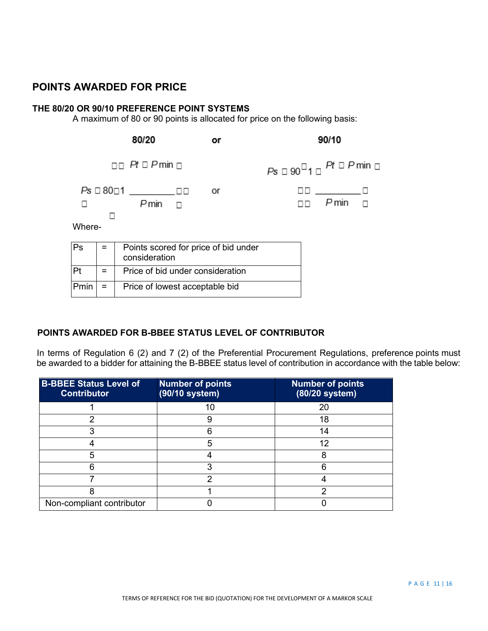# **POINTS AWARDED FOR PRICE**

## **THE 80/20 OR 90/10 PREFERENCE POINT SYSTEMS**

A maximum of 80 or 90 points is allocated for price on the following basis:



# **POINTS AWARDED FOR B-BBEE STATUS LEVEL OF CONTRIBUTOR**

In terms of Regulation 6 (2) and 7 (2) of the Preferential Procurement Regulations, preference points must be awarded to a bidder for attaining the B-BBEE status level of contribution in accordance with the table below:

| <b>B-BBEE Status Level of</b><br><b>Contributor</b> | <b>Number of points</b><br>(90/10 system) | <b>Number of points</b><br>(80/20 system) |
|-----------------------------------------------------|-------------------------------------------|-------------------------------------------|
|                                                     | 10                                        | 20                                        |
| ∩                                                   | 9                                         | 18                                        |
|                                                     |                                           | 14                                        |
|                                                     | 5                                         | 12                                        |
|                                                     |                                           | 8                                         |
|                                                     | ⌒                                         |                                           |
|                                                     | າ                                         |                                           |
|                                                     |                                           | ⌒                                         |
| Non-compliant contributor                           |                                           |                                           |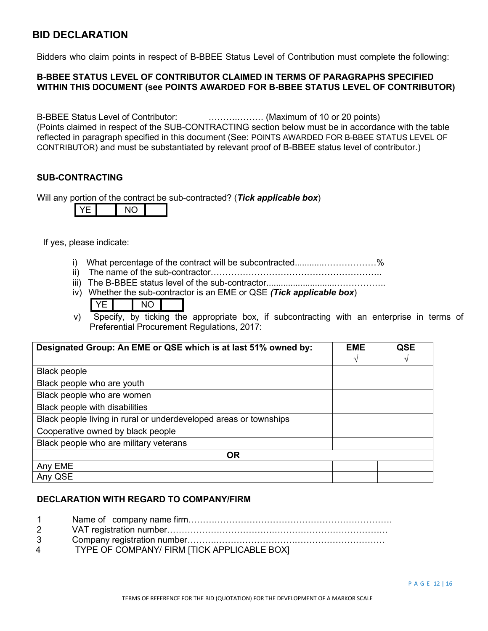# **BID DECLARATION**

Bidders who claim points in respect of B-BBEE Status Level of Contribution must complete the following:

# **B-BBEE STATUS LEVEL OF CONTRIBUTOR CLAIMED IN TERMS OF PARAGRAPHS SPECIFIED WITHIN THIS DOCUMENT (see POINTS AWARDED FOR B-BBEE STATUS LEVEL OF CONTRIBUTOR)**

B-BBEE Status Level of Contributor: ……….……… (Maximum of 10 or 20 points) (Points claimed in respect of the SUB-CONTRACTING section below must be in accordance with the table reflected in paragraph specified in this document (See: POINTS AWARDED FOR B-BBEE STATUS LEVEL OF CONTRIBUTOR) and must be substantiated by relevant proof of B-BBEE status level of contributor.)

# **SUB-CONTRACTING**

Will any portion of the contract be sub-contracted? (*Tick applicable box*)

|--|--|--|--|

If yes, please indicate:

- i) What percentage of the contract will be subcontracted............………………%
- ii) The name of the sub-contractor…………………………………………………..
- iii) The B-BBEE status level of the sub-contractor.............................……………..
- iv) Whether the sub-contractor is an EME or QSE *(Tick applicable box*)

v) Specify, by ticking the appropriate box, if subcontracting with an enterprise in terms of Preferential Procurement Regulations, 2017:

| Designated Group: An EME or QSE which is at last 51% owned by:    | <b>EME</b> | <b>QSE</b> |
|-------------------------------------------------------------------|------------|------------|
|                                                                   | ٦          | V          |
| <b>Black people</b>                                               |            |            |
| Black people who are youth                                        |            |            |
| Black people who are women                                        |            |            |
| Black people with disabilities                                    |            |            |
| Black people living in rural or underdeveloped areas or townships |            |            |
| Cooperative owned by black people                                 |            |            |
| Black people who are military veterans                            |            |            |
| <b>OR</b>                                                         |            |            |
| Any EME                                                           |            |            |
| Any QSE                                                           |            |            |

# **DECLARATION WITH REGARD TO COMPANY/FIRM**

| $1 \quad$   |                                             |
|-------------|---------------------------------------------|
| $2^{\circ}$ |                                             |
| 3           |                                             |
| 4           | TYPE OF COMPANY/ FIRM [TICK APPLICABLE BOX] |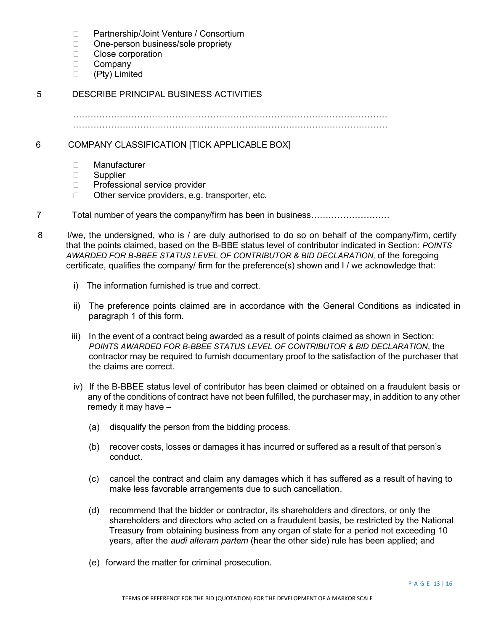- □ Partnership/Joint Venture / Consortium
- □ One-person business/sole propriety
- □ Close corporation
- D Company
- (Pty) Limited

# 5 DESCRIBE PRINCIPAL BUSINESS ACTIVITIES

……………………………………………………………………………………………… ………………………………………………………………………………………………

6 COMPANY CLASSIFICATION [TICK APPLICABLE BOX]

- Manufacturer
- □ Supplier
- □ Professional service provider
- $\Box$  Other service providers, e.g. transporter, etc.
- 7 Total number of years the company/firm has been in business………………………
- 8 I/we, the undersigned, who is / are duly authorised to do so on behalf of the company/firm, certify that the points claimed, based on the B-BBE status level of contributor indicated in Section: *POINTS AWARDED FOR B-BBEE STATUS LEVEL OF CONTRIBUTOR & BID DECLARATION,* of the foregoing certificate, qualifies the company/ firm for the preference(s) shown and I / we acknowledge that:
	- i) The information furnished is true and correct.
	- ii) The preference points claimed are in accordance with the General Conditions as indicated in paragraph 1 of this form.
	- iii) In the event of a contract being awarded as a result of points claimed as shown in Section: *POINTS AWARDED FOR B-BBEE STATUS LEVEL OF CONTRIBUTOR & BID DECLARATION*, the contractor may be required to furnish documentary proof to the satisfaction of the purchaser that the claims are correct.
	- iv) If the B-BBEE status level of contributor has been claimed or obtained on a fraudulent basis or any of the conditions of contract have not been fulfilled, the purchaser may, in addition to any other remedy it may have –
		- (a) disqualify the person from the bidding process.
		- (b) recover costs, losses or damages it has incurred or suffered as a result of that person's conduct.
		- (c) cancel the contract and claim any damages which it has suffered as a result of having to make less favorable arrangements due to such cancellation.
		- (d) recommend that the bidder or contractor, its shareholders and directors, or only the shareholders and directors who acted on a fraudulent basis, be restricted by the National Treasury from obtaining business from any organ of state for a period not exceeding 10 years, after the *audi alteram partem* (hear the other side) rule has been applied; and
		- (e) forward the matter for criminal prosecution.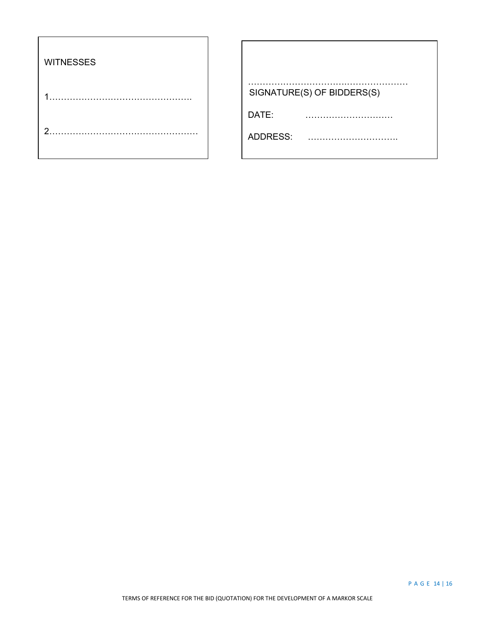| <b>WITNESSES</b> |                            |
|------------------|----------------------------|
|                  | SIGNATURE(S) OF BIDDERS(S) |
|                  | DATE:                      |
| ◠                | ADDRESS:                   |
|                  |                            |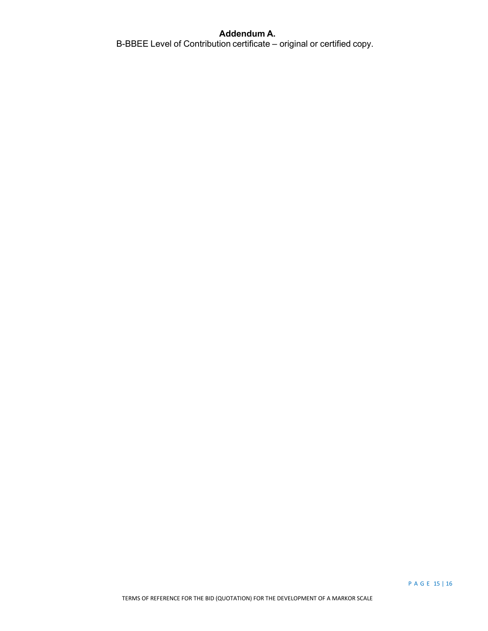# **Addendum A.**

B-BBEE Level of Contribution certificate – original or certified copy.